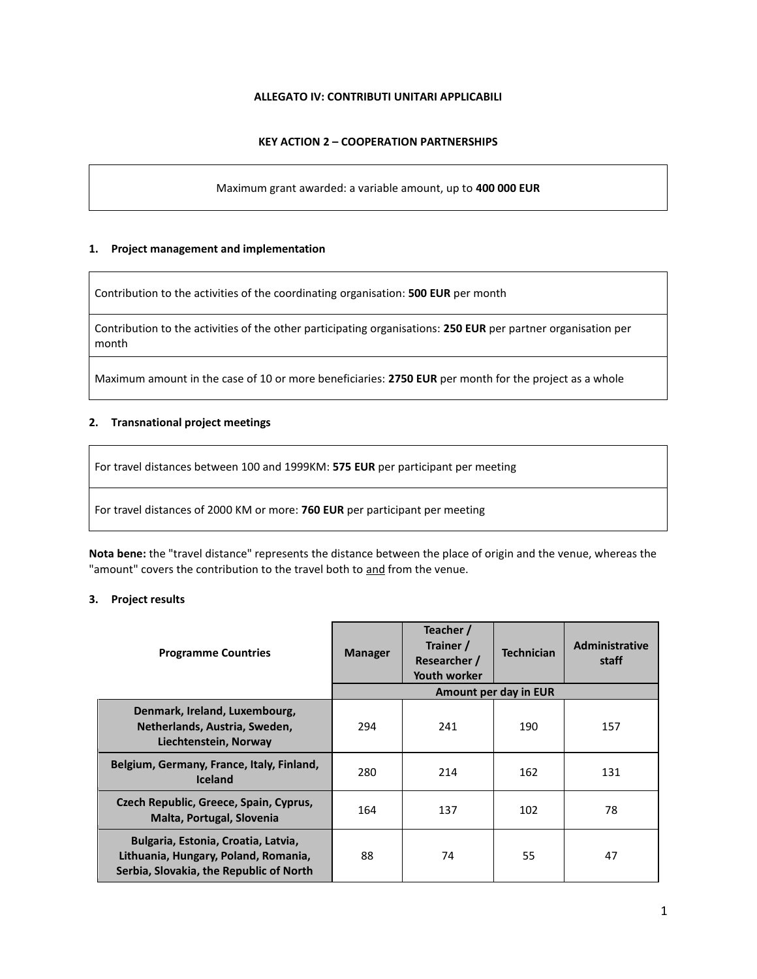## **ALLEGATO IV: CONTRIBUTI UNITARI APPLICABILI**

# **KEY ACTION 2 – COOPERATION PARTNERSHIPS**

Maximum grant awarded: a variable amount, up to **400 000 EUR**

### **1. Project management and implementation**

Contribution to the activities of the coordinating organisation: **500 EUR** per month

Contribution to the activities of the other participating organisations: **250 EUR** per partner organisation per month

Maximum amount in the case of 10 or more beneficiaries: **2750 EUR** per month for the project as a whole

## **2. Transnational project meetings**

For travel distances between 100 and 1999KM: **575 EUR** per participant per meeting

For travel distances of 2000 KM or more: **760 EUR** per participant per meeting

**Nota bene:** the "travel distance" represents the distance between the place of origin and the venue, whereas the "amount" covers the contribution to the travel both to and from the venue.

## **3. Project results**

| <b>Programme Countries</b>                                                                                             | <b>Manager</b> | Teacher /<br>Trainer /<br>Researcher /<br><b>Youth worker</b> | <b>Technician</b>     | <b>Administrative</b><br>staff |
|------------------------------------------------------------------------------------------------------------------------|----------------|---------------------------------------------------------------|-----------------------|--------------------------------|
|                                                                                                                        |                |                                                               | Amount per day in EUR |                                |
| Denmark, Ireland, Luxembourg,<br>Netherlands, Austria, Sweden,<br>Liechtenstein, Norway                                | 294            | 241                                                           | 190                   | 157                            |
| Belgium, Germany, France, Italy, Finland,<br><b>Iceland</b>                                                            | 280            | 214                                                           | 162                   | 131                            |
| Czech Republic, Greece, Spain, Cyprus,<br>Malta, Portugal, Slovenia                                                    | 164            | 137                                                           | 102                   | 78                             |
| Bulgaria, Estonia, Croatia, Latvia,<br>Lithuania, Hungary, Poland, Romania,<br>Serbia, Slovakia, the Republic of North | 88             | 74                                                            | 55                    | 47                             |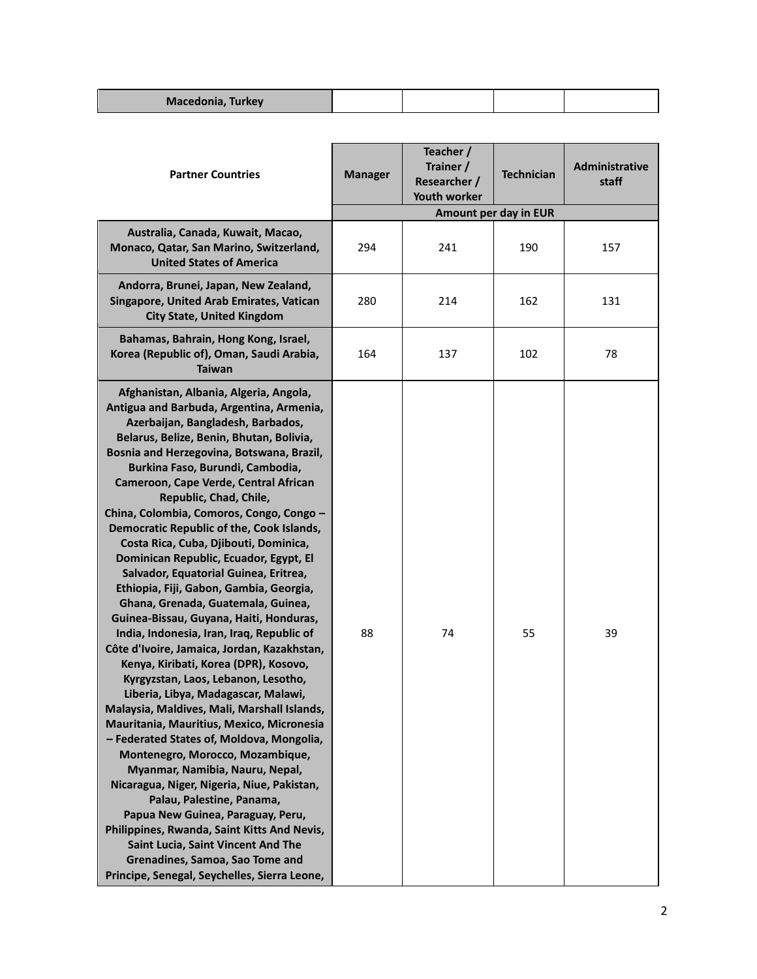| Macedonia, Turkey |  |  |
|-------------------|--|--|
|                   |  |  |

| <b>Partner Countries</b>                                                                                                                                                                                                                                                                                                                                                                                                                                                                                                                                                                                                                                                                                                                                                                                                                                                                                                                                                                                                                                                                                                                                                                                                                                                                                                                                                                            | <b>Manager</b> | Teacher /<br>Trainer /<br>Researcher /<br>Youth worker | <b>Technician</b>     | Administrative<br>staff |
|-----------------------------------------------------------------------------------------------------------------------------------------------------------------------------------------------------------------------------------------------------------------------------------------------------------------------------------------------------------------------------------------------------------------------------------------------------------------------------------------------------------------------------------------------------------------------------------------------------------------------------------------------------------------------------------------------------------------------------------------------------------------------------------------------------------------------------------------------------------------------------------------------------------------------------------------------------------------------------------------------------------------------------------------------------------------------------------------------------------------------------------------------------------------------------------------------------------------------------------------------------------------------------------------------------------------------------------------------------------------------------------------------------|----------------|--------------------------------------------------------|-----------------------|-------------------------|
|                                                                                                                                                                                                                                                                                                                                                                                                                                                                                                                                                                                                                                                                                                                                                                                                                                                                                                                                                                                                                                                                                                                                                                                                                                                                                                                                                                                                     |                |                                                        | Amount per day in EUR |                         |
| Australia, Canada, Kuwait, Macao,<br>Monaco, Qatar, San Marino, Switzerland,<br><b>United States of America</b>                                                                                                                                                                                                                                                                                                                                                                                                                                                                                                                                                                                                                                                                                                                                                                                                                                                                                                                                                                                                                                                                                                                                                                                                                                                                                     | 294            | 241                                                    | 190                   | 157                     |
| Andorra, Brunei, Japan, New Zealand,<br>Singapore, United Arab Emirates, Vatican<br><b>City State, United Kingdom</b>                                                                                                                                                                                                                                                                                                                                                                                                                                                                                                                                                                                                                                                                                                                                                                                                                                                                                                                                                                                                                                                                                                                                                                                                                                                                               | 280            | 214                                                    | 162                   | 131                     |
| Bahamas, Bahrain, Hong Kong, Israel,<br>Korea (Republic of), Oman, Saudi Arabia,<br><b>Taiwan</b>                                                                                                                                                                                                                                                                                                                                                                                                                                                                                                                                                                                                                                                                                                                                                                                                                                                                                                                                                                                                                                                                                                                                                                                                                                                                                                   | 164            | 137                                                    | 102                   | 78                      |
| Afghanistan, Albania, Algeria, Angola,<br>Antigua and Barbuda, Argentina, Armenia,<br>Azerbaijan, Bangladesh, Barbados,<br>Belarus, Belize, Benin, Bhutan, Bolivia,<br>Bosnia and Herzegovina, Botswana, Brazil,<br>Burkina Faso, Burundi, Cambodia,<br>Cameroon, Cape Verde, Central African<br>Republic, Chad, Chile,<br>China, Colombia, Comoros, Congo, Congo -<br>Democratic Republic of the, Cook Islands,<br>Costa Rica, Cuba, Djibouti, Dominica,<br>Dominican Republic, Ecuador, Egypt, El<br>Salvador, Equatorial Guinea, Eritrea,<br>Ethiopia, Fiji, Gabon, Gambia, Georgia,<br>Ghana, Grenada, Guatemala, Guinea,<br>Guinea-Bissau, Guyana, Haiti, Honduras,<br>India, Indonesia, Iran, Iraq, Republic of<br>Côte d'Ivoire, Jamaica, Jordan, Kazakhstan,<br>Kenya, Kiribati, Korea (DPR), Kosovo,<br>Kyrgyzstan, Laos, Lebanon, Lesotho,<br>Liberia, Libya, Madagascar, Malawi,<br>Malaysia, Maldives, Mali, Marshall Islands,<br>Mauritania, Mauritius, Mexico, Micronesia<br>- Federated States of, Moldova, Mongolia,<br>Montenegro, Morocco, Mozambique,<br>Myanmar, Namibia, Nauru, Nepal,<br>Nicaragua, Niger, Nigeria, Niue, Pakistan,<br>Palau, Palestine, Panama,<br>Papua New Guinea, Paraguay, Peru,<br>Philippines, Rwanda, Saint Kitts And Nevis,<br>Saint Lucia, Saint Vincent And The<br>Grenadines, Samoa, Sao Tome and<br>Principe, Senegal, Seychelles, Sierra Leone, | 88             | 74                                                     | 55                    | 39                      |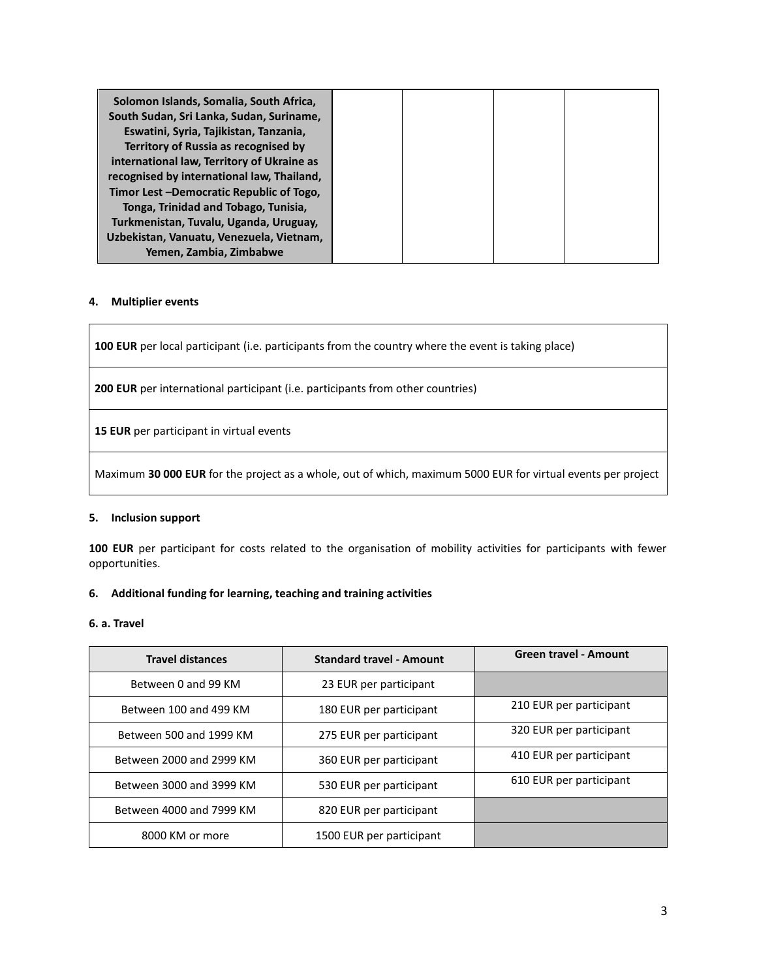| Solomon Islands, Somalia, South Africa,<br>South Sudan, Sri Lanka, Sudan, Suriname, |  |  |
|-------------------------------------------------------------------------------------|--|--|
| Eswatini, Syria, Tajikistan, Tanzania,                                              |  |  |
| Territory of Russia as recognised by                                                |  |  |
| international law, Territory of Ukraine as                                          |  |  |
| recognised by international law, Thailand,                                          |  |  |
| Timor Lest -Democratic Republic of Togo,                                            |  |  |
| Tonga, Trinidad and Tobago, Tunisia,                                                |  |  |
| Turkmenistan, Tuvalu, Uganda, Uruguay,                                              |  |  |
| Uzbekistan, Vanuatu, Venezuela, Vietnam,                                            |  |  |
| Yemen, Zambia, Zimbabwe                                                             |  |  |

### **4. Multiplier events**

**100 EUR** per local participant (i.e. participants from the country where the event is taking place)

**200 EUR** per international participant (i.e. participants from other countries)

**15 EUR** per participant in virtual events

Maximum **30 000 EUR** for the project as a whole, out of which, maximum 5000 EUR for virtual events per project

#### **5. Inclusion support**

**100 EUR** per participant for costs related to the organisation of mobility activities for participants with fewer opportunities.

#### **6. Additional funding for learning, teaching and training activities**

#### **6. a. Travel**

| <b>Travel distances</b>  | <b>Standard travel - Amount</b> | <b>Green travel - Amount</b> |
|--------------------------|---------------------------------|------------------------------|
| Between 0 and 99 KM      | 23 EUR per participant          |                              |
| Between 100 and 499 KM   | 180 EUR per participant         | 210 EUR per participant      |
| Between 500 and 1999 KM  | 275 EUR per participant         | 320 EUR per participant      |
| Between 2000 and 2999 KM | 360 EUR per participant         | 410 EUR per participant      |
| Between 3000 and 3999 KM | 530 EUR per participant         | 610 EUR per participant      |
| Between 4000 and 7999 KM | 820 EUR per participant         |                              |
| 8000 KM or more          | 1500 EUR per participant        |                              |